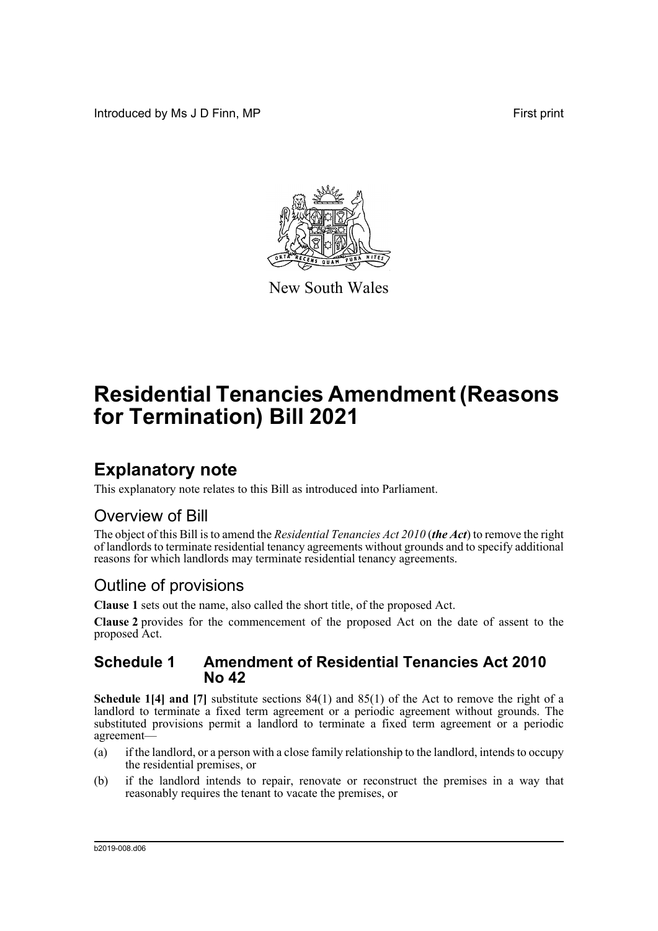Introduced by Ms J D Finn, MP **First** print



New South Wales

# **Residential Tenancies Amendment (Reasons for Termination) Bill 2021**

## **Explanatory note**

This explanatory note relates to this Bill as introduced into Parliament.

### Overview of Bill

The object of this Bill is to amend the *Residential Tenancies Act 2010* (*the Act*) to remove the right of landlords to terminate residential tenancy agreements without grounds and to specify additional reasons for which landlords may terminate residential tenancy agreements.

### Outline of provisions

**Clause 1** sets out the name, also called the short title, of the proposed Act.

**Clause 2** provides for the commencement of the proposed Act on the date of assent to the proposed Act.

#### **Schedule 1 Amendment of Residential Tenancies Act 2010 No 42**

**Schedule 1[4] and [7]** substitute sections 84(1) and 85(1) of the Act to remove the right of a landlord to terminate a fixed term agreement or a periodic agreement without grounds. The substituted provisions permit a landlord to terminate a fixed term agreement or a periodic agreement—

- (a) if the landlord, or a person with a close family relationship to the landlord, intends to occupy the residential premises, or
- (b) if the landlord intends to repair, renovate or reconstruct the premises in a way that reasonably requires the tenant to vacate the premises, or

b2019-008.d06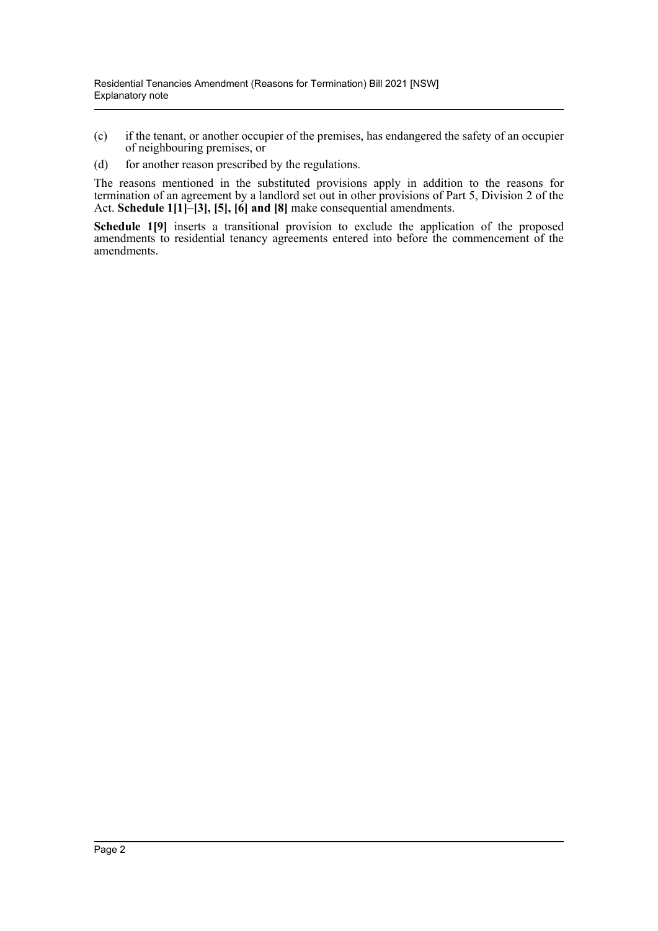- (c) if the tenant, or another occupier of the premises, has endangered the safety of an occupier of neighbouring premises, or
- (d) for another reason prescribed by the regulations.

The reasons mentioned in the substituted provisions apply in addition to the reasons for termination of an agreement by a landlord set out in other provisions of Part 5, Division 2 of the Act. **Schedule 1[1]–[3], [5], [6] and [8]** make consequential amendments.

**Schedule 1[9]** inserts a transitional provision to exclude the application of the proposed amendments to residential tenancy agreements entered into before the commencement of the amendments.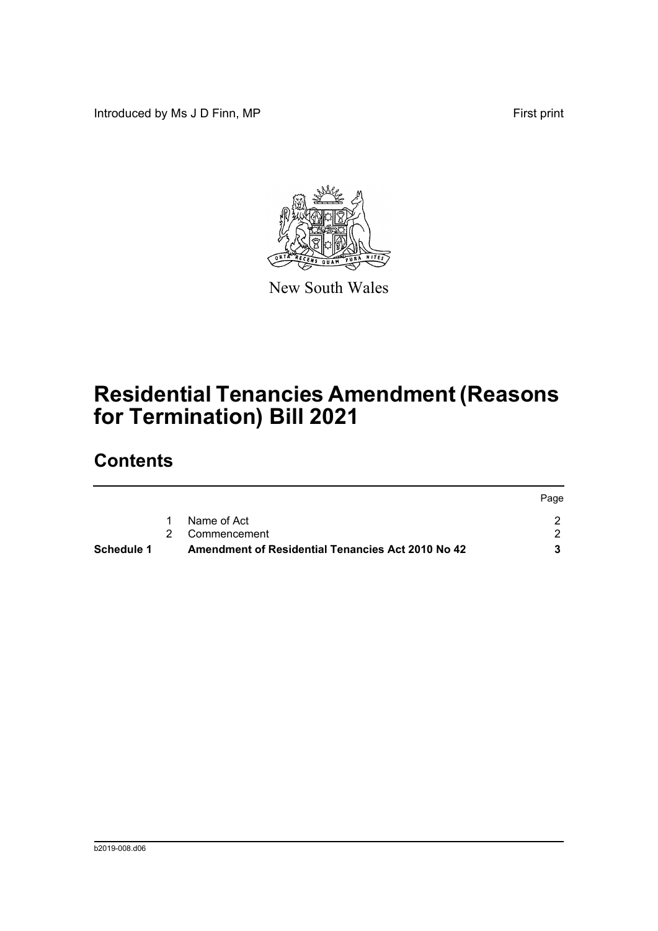Introduced by Ms J D Finn, MP **First** print



New South Wales

# **Residential Tenancies Amendment (Reasons for Termination) Bill 2021**

## **Contents**

| Schedule 1 | Amendment of Residential Tenancies Act 2010 No 42 |      |
|------------|---------------------------------------------------|------|
|            | 2 Commencement                                    |      |
|            | Name of Act                                       |      |
|            |                                                   | Page |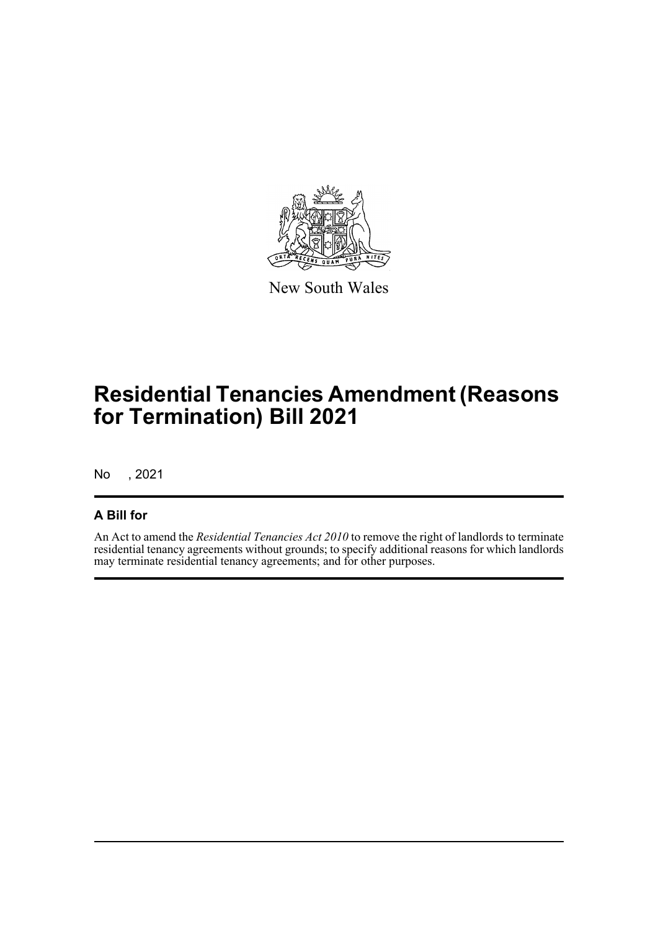

New South Wales

# **Residential Tenancies Amendment (Reasons for Termination) Bill 2021**

No , 2021

#### **A Bill for**

An Act to amend the *Residential Tenancies Act 2010* to remove the right of landlords to terminate residential tenancy agreements without grounds; to specify additional reasons for which landlords may terminate residential tenancy agreements; and for other purposes.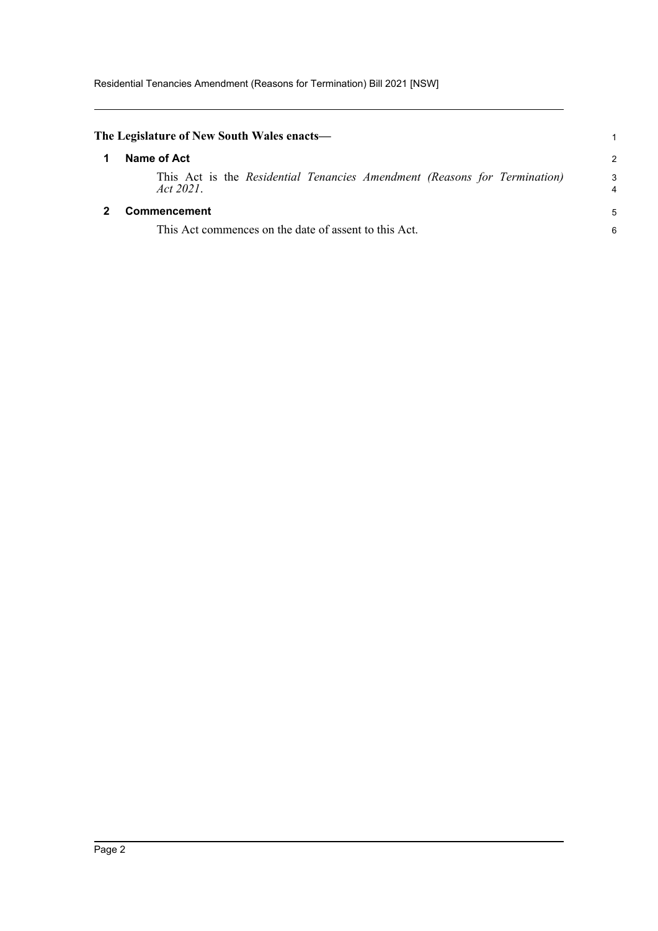<span id="page-4-1"></span><span id="page-4-0"></span>

| The Legislature of New South Wales enacts—                                             |               |
|----------------------------------------------------------------------------------------|---------------|
| Name of Act                                                                            | $\mathcal{P}$ |
| This Act is the Residential Tenancies Amendment (Reasons for Termination)<br>Act 2021. | 3<br>4        |
| <b>Commencement</b>                                                                    | 5             |
| This Act commences on the date of assent to this Act.                                  | 6             |
|                                                                                        |               |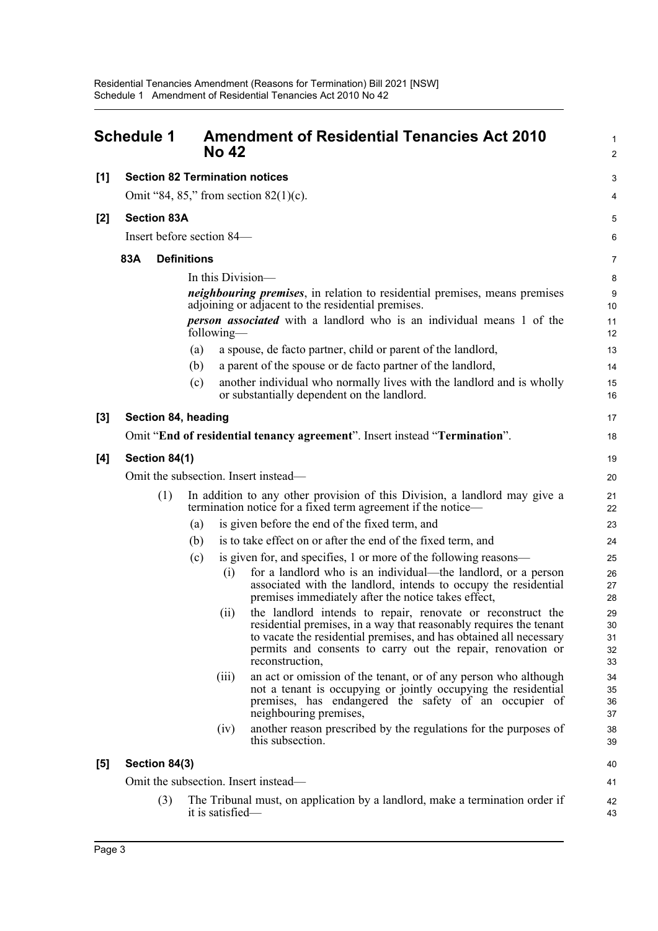<span id="page-5-0"></span>

|     | Schedule 1                            |                    | <b>No 42</b>     | <b>Amendment of Residential Tenancies Act 2010</b>                                                                                                                                                                                                                                        | 1<br>$\overline{2}$        |  |
|-----|---------------------------------------|--------------------|------------------|-------------------------------------------------------------------------------------------------------------------------------------------------------------------------------------------------------------------------------------------------------------------------------------------|----------------------------|--|
| [1] | <b>Section 82 Termination notices</b> |                    |                  |                                                                                                                                                                                                                                                                                           | 3                          |  |
|     |                                       |                    |                  | Omit "84, 85," from section $82(1)(c)$ .                                                                                                                                                                                                                                                  | 4                          |  |
| [2] | <b>Section 83A</b>                    |                    |                  |                                                                                                                                                                                                                                                                                           | 5                          |  |
|     | Insert before section 84—             |                    |                  |                                                                                                                                                                                                                                                                                           | 6                          |  |
|     | 83A                                   | <b>Definitions</b> |                  |                                                                                                                                                                                                                                                                                           | 7                          |  |
|     |                                       |                    |                  | In this Division—                                                                                                                                                                                                                                                                         | 8                          |  |
|     |                                       |                    |                  | <i>neighbouring premises</i> , in relation to residential premises, means premises<br>adjoining or adjacent to the residential premises.                                                                                                                                                  | 9<br>10                    |  |
|     |                                       |                    | following—       | <i>person associated</i> with a landlord who is an individual means 1 of the                                                                                                                                                                                                              | 11<br>12                   |  |
|     |                                       | (a)                |                  | a spouse, de facto partner, child or parent of the landlord,                                                                                                                                                                                                                              | 13                         |  |
|     |                                       | (b)                |                  | a parent of the spouse or de facto partner of the landlord,                                                                                                                                                                                                                               | 14                         |  |
|     |                                       | (c)                |                  | another individual who normally lives with the landlord and is wholly<br>or substantially dependent on the landlord.                                                                                                                                                                      | 15<br>16                   |  |
| [3] | Section 84, heading                   |                    |                  |                                                                                                                                                                                                                                                                                           | 17                         |  |
|     |                                       |                    |                  | Omit "End of residential tenancy agreement". Insert instead "Termination".                                                                                                                                                                                                                | 18                         |  |
| [4] | Section 84(1)                         |                    |                  |                                                                                                                                                                                                                                                                                           | 19                         |  |
|     | Omit the subsection. Insert instead—  |                    |                  |                                                                                                                                                                                                                                                                                           |                            |  |
|     | (1)                                   |                    |                  | In addition to any other provision of this Division, a landlord may give a<br>termination notice for a fixed term agreement if the notice—                                                                                                                                                | 21<br>22                   |  |
|     |                                       | (a)                |                  | is given before the end of the fixed term, and                                                                                                                                                                                                                                            | 23                         |  |
|     |                                       | (b)                |                  | is to take effect on or after the end of the fixed term, and                                                                                                                                                                                                                              | 24                         |  |
|     |                                       | (c)                |                  | is given for, and specifies, 1 or more of the following reasons—                                                                                                                                                                                                                          | 25                         |  |
|     |                                       |                    | (i)              | for a landlord who is an individual—the landlord, or a person<br>associated with the landlord, intends to occupy the residential<br>premises immediately after the notice takes effect,                                                                                                   | 26<br>27<br>28             |  |
|     |                                       |                    | (ii)             | the landlord intends to repair, renovate or reconstruct the<br>residential premises, in a way that reasonably requires the tenant<br>to vacate the residential premises, and has obtained all necessary<br>permits and consents to carry out the repair, renovation or<br>reconstruction, | 29<br>30<br>31<br>32<br>33 |  |
|     |                                       |                    | (111)            | an act or omission of the tenant, or of any person who although<br>not a tenant is occupying or jointly occupying the residential<br>premises, has endangered the safety of an occupier of<br>neighbouring premises,                                                                      | 34<br>35<br>36<br>37       |  |
|     |                                       |                    | (iv)             | another reason prescribed by the regulations for the purposes of<br>this subsection.                                                                                                                                                                                                      | 38<br>39                   |  |
| [5] | Section 84(3)                         |                    |                  |                                                                                                                                                                                                                                                                                           | 40                         |  |
|     |                                       |                    |                  | Omit the subsection. Insert instead—                                                                                                                                                                                                                                                      | 41                         |  |
|     | (3)                                   |                    | it is satisfied- | The Tribunal must, on application by a landlord, make a termination order if                                                                                                                                                                                                              | 42<br>43                   |  |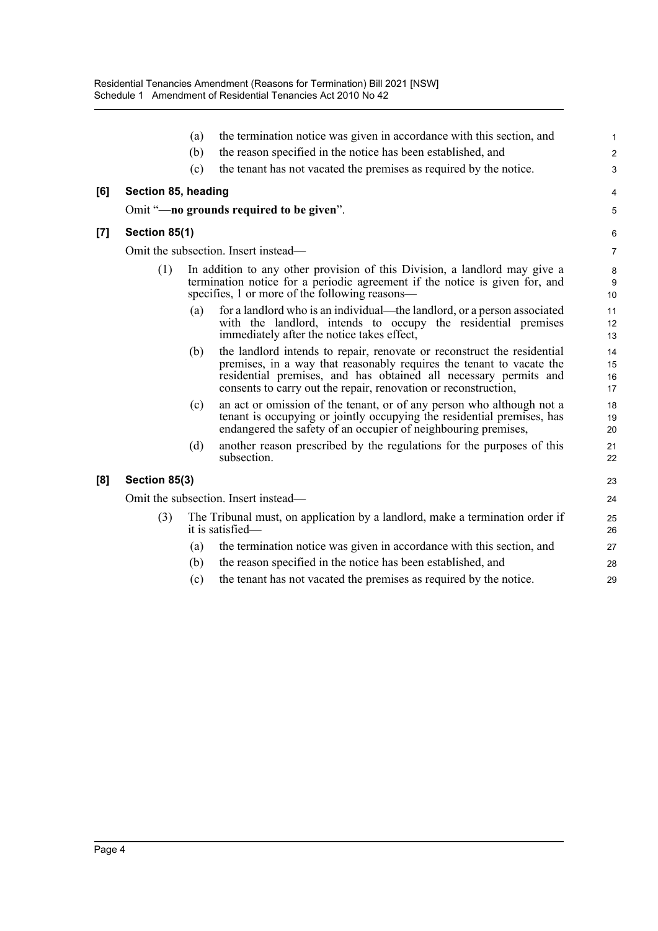|       |                                      | (a) | the termination notice was given in accordance with this section, and                                                                                                                                                                                                                  | $\mathbf{1}$         |  |
|-------|--------------------------------------|-----|----------------------------------------------------------------------------------------------------------------------------------------------------------------------------------------------------------------------------------------------------------------------------------------|----------------------|--|
|       |                                      | (b) | the reason specified in the notice has been established, and                                                                                                                                                                                                                           | 2                    |  |
|       |                                      | (c) | the tenant has not vacated the premises as required by the notice.                                                                                                                                                                                                                     | 3                    |  |
| [6]   | Section 85, heading                  |     |                                                                                                                                                                                                                                                                                        | 4                    |  |
|       |                                      |     | Omit "-no grounds required to be given".                                                                                                                                                                                                                                               | 5                    |  |
| $[7]$ | Section 85(1)                        |     |                                                                                                                                                                                                                                                                                        | 6                    |  |
|       |                                      |     | Omit the subsection. Insert instead—                                                                                                                                                                                                                                                   | $\overline{7}$       |  |
|       | (1)                                  |     | In addition to any other provision of this Division, a landlord may give a<br>termination notice for a periodic agreement if the notice is given for, and<br>specifies, 1 or more of the following reasons—                                                                            | 8<br>9<br>10         |  |
|       |                                      | (a) | for a landlord who is an individual—the landlord, or a person associated<br>with the landlord, intends to occupy the residential premises<br>immediately after the notice takes effect,                                                                                                | 11<br>12<br>13       |  |
|       |                                      | (b) | the landlord intends to repair, renovate or reconstruct the residential<br>premises, in a way that reasonably requires the tenant to vacate the<br>residential premises, and has obtained all necessary permits and<br>consents to carry out the repair, renovation or reconstruction, | 14<br>15<br>16<br>17 |  |
|       |                                      | (c) | an act or omission of the tenant, or of any person who although not a<br>tenant is occupying or jointly occupying the residential premises, has<br>endangered the safety of an occupier of neighbouring premises,                                                                      | 18<br>19<br>20       |  |
|       |                                      | (d) | another reason prescribed by the regulations for the purposes of this<br>subsection.                                                                                                                                                                                                   | 21<br>22             |  |
| [8]   | Section 85(3)                        |     |                                                                                                                                                                                                                                                                                        | 23                   |  |
|       | Omit the subsection. Insert instead— |     |                                                                                                                                                                                                                                                                                        |                      |  |
|       | (3)                                  |     | The Tribunal must, on application by a landlord, make a termination order if<br>it is satisfied-                                                                                                                                                                                       | 25<br>26             |  |
|       |                                      | (a) | the termination notice was given in accordance with this section, and                                                                                                                                                                                                                  | 27                   |  |
|       |                                      | (b) | the reason specified in the notice has been established, and                                                                                                                                                                                                                           | 28                   |  |
|       |                                      | (c) | the tenant has not vacated the premises as required by the notice.                                                                                                                                                                                                                     | 29                   |  |